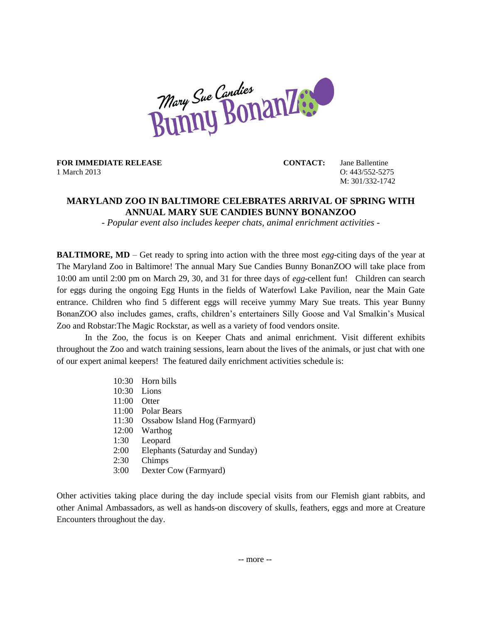

**FOR IMMEDIATE RELEASE CONTACT:** Jane Ballentine 1 March 2013 O: 443/552-5275

M: 301/332-1742

## **MARYLAND ZOO IN BALTIMORE CELEBRATES ARRIVAL OF SPRING WITH ANNUAL MARY SUE CANDIES BUNNY BONANZOO**

*- Popular event also includes keeper chats, animal enrichment activities -*

**BALTIMORE, MD** – Get ready to spring into action with the three most *egg*-citing days of the year at The Maryland Zoo in Baltimore! The annual Mary Sue Candies Bunny BonanZOO will take place from 10:00 am until 2:00 pm on March 29, 30, and 31 for three days of *egg*-cellent fun! Children can search for eggs during the ongoing Egg Hunts in the fields of Waterfowl Lake Pavilion, near the Main Gate entrance. Children who find 5 different eggs will receive yummy Mary Sue treats. This year Bunny BonanZOO also includes games, crafts, children's entertainers Silly Goose and Val Smalkin's Musical Zoo and Robstar:The Magic Rockstar, as well as a variety of food vendors onsite.

In the Zoo, the focus is on Keeper Chats and animal enrichment. Visit different exhibits throughout the Zoo and watch training sessions, learn about the lives of the animals, or just chat with one of our expert animal keepers! The featured daily enrichment activities schedule is:

- 10:30 Horn bills 10:30 Lions 11:00 Otter 11:00 Polar Bears 11:30 Ossabow Island Hog (Farmyard) 12:00 Warthog 1:30 Leopard 2:00 Elephants (Saturday and Sunday) 2:30 Chimps
- 3:00 Dexter Cow (Farmyard)

Other activities taking place during the day include special visits from our Flemish giant rabbits, and other Animal Ambassadors, as well as hands-on discovery of skulls, feathers, eggs and more at Creature Encounters throughout the day.